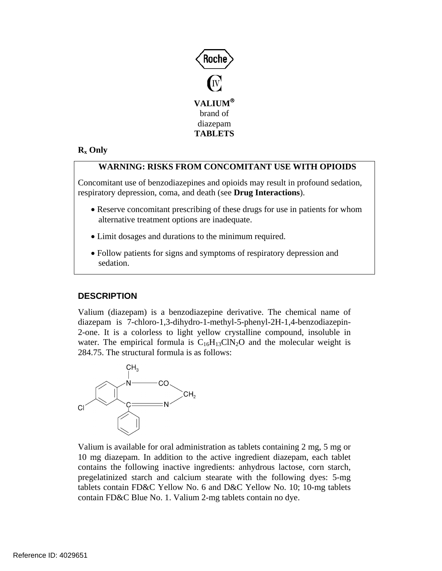

# **Rx Only**

## **WARNING: RISKS FROM CONCOMITANT USE WITH OPIOIDS**

Concomitant use of benzodiazepines and opioids may result in profound sedation, respiratory depression, coma, and death (see **Drug Interactions**).

- Reserve concomitant prescribing of these drugs for use in patients for whom alternative treatment options are inadequate.
- Limit dosages and durations to the minimum required.
- Follow patients for signs and symptoms of respiratory depression and sedation.

# **DESCRIPTION**

Valium (diazepam) is a benzodiazepine derivative. The chemical name of diazepam is 7-chloro-1,3-dihydro-1-methyl-5-phenyl-2H-1,4-benzodiazepin-2-one. It is a colorless to light yellow crystalline compound, insoluble in water. The empirical formula is  $C_{16}H_{13}CN_2O$  and the molecular weight is 284.75. The structural formula is as follows:



Valium is available for oral administration as tablets containing 2 mg, 5 mg or 10 mg diazepam. In addition to the active ingredient diazepam, each tablet contains the following inactive ingredients: anhydrous lactose, corn starch, pregelatinized starch and calcium stearate with the following dyes: 5-mg tablets contain FD&C Yellow No. 6 and D&C Yellow No. 10; 10-mg tablets contain FD&C Blue No. 1. Valium 2-mg tablets contain no dye.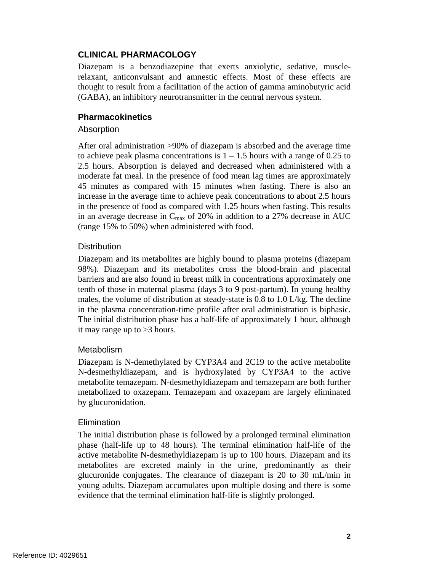# **CLINICAL PHARMACOLOGY**

Diazepam is a benzodiazepine that exerts anxiolytic, sedative, musclerelaxant, anticonvulsant and amnestic effects. Most of these effects are thought to result from a facilitation of the action of gamma aminobutyric acid (GABA), an inhibitory neurotransmitter in the central nervous system.

## **Pharmacokinetics**

## **Absorption**

After oral administration >90% of diazepam is absorbed and the average time to achieve peak plasma concentrations is  $1 - 1.5$  hours with a range of 0.25 to 2.5 hours. Absorption is delayed and decreased when administered with a moderate fat meal. In the presence of food mean lag times are approximately 45 minutes as compared with 15 minutes when fasting. There is also an increase in the average time to achieve peak concentrations to about 2.5 hours in the presence of food as compared with 1.25 hours when fasting. This results in an average decrease in  $C_{\text{max}}$  of 20% in addition to a 27% decrease in AUC (range 15% to 50%) when administered with food.

## **Distribution**

Diazepam and its metabolites are highly bound to plasma proteins (diazepam 98%). Diazepam and its metabolites cross the blood-brain and placental barriers and are also found in breast milk in concentrations approximately one tenth of those in maternal plasma (days 3 to 9 post-partum). In young healthy males, the volume of distribution at steady-state is 0.8 to 1.0 L/kg. The decline in the plasma concentration-time profile after oral administration is biphasic. The initial distribution phase has a half-life of approximately 1 hour, although it may range up to >3 hours.

## **Metabolism**

Diazepam is N-demethylated by CYP3A4 and 2C19 to the active metabolite N-desmethyldiazepam, and is hydroxylated by CYP3A4 to the active metabolite temazepam. N-desmethyldiazepam and temazepam are both further metabolized to oxazepam. Temazepam and oxazepam are largely eliminated by glucuronidation.

## Elimination

The initial distribution phase is followed by a prolonged terminal elimination phase (half-life up to 48 hours). The terminal elimination half-life of the active metabolite N-desmethyldiazepam is up to 100 hours. Diazepam and its metabolites are excreted mainly in the urine, predominantly as their glucuronide conjugates. The clearance of diazepam is 20 to 30 mL/min in young adults. Diazepam accumulates upon multiple dosing and there is some evidence that the terminal elimination half-life is slightly prolonged.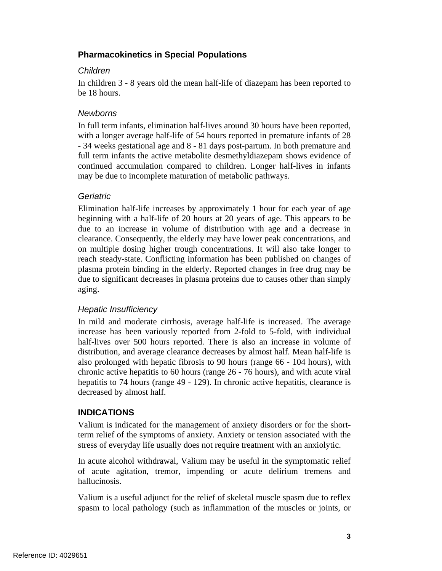# **Pharmacokinetics in Special Populations**

## *Children*

In children 3 - 8 years old the mean half-life of diazepam has been reported to be 18 hours.

# *Newborns*

In full term infants, elimination half-lives around 30 hours have been reported, with a longer average half-life of 54 hours reported in premature infants of 28 - 34 weeks gestational age and 8 - 81 days post-partum. In both premature and full term infants the active metabolite desmethyldiazepam shows evidence of continued accumulation compared to children. Longer half-lives in infants may be due to incomplete maturation of metabolic pathways.

## *Geriatric*

Elimination half-life increases by approximately 1 hour for each year of age beginning with a half-life of 20 hours at 20 years of age. This appears to be due to an increase in volume of distribution with age and a decrease in clearance. Consequently, the elderly may have lower peak concentrations, and on multiple dosing higher trough concentrations. It will also take longer to reach steady-state. Conflicting information has been published on changes of plasma protein binding in the elderly. Reported changes in free drug may be due to significant decreases in plasma proteins due to causes other than simply aging.

# *Hepatic Insufficiency*

In mild and moderate cirrhosis, average half-life is increased. The average increase has been variously reported from 2-fold to 5-fold, with individual half-lives over 500 hours reported. There is also an increase in volume of distribution, and average clearance decreases by almost half. Mean half-life is also prolonged with hepatic fibrosis to 90 hours (range 66 - 104 hours), with chronic active hepatitis to 60 hours (range 26 - 76 hours), and with acute viral hepatitis to 74 hours (range 49 - 129). In chronic active hepatitis, clearance is decreased by almost half.

# **INDICATIONS**

Valium is indicated for the management of anxiety disorders or for the shortterm relief of the symptoms of anxiety. Anxiety or tension associated with the stress of everyday life usually does not require treatment with an anxiolytic.

In acute alcohol withdrawal, Valium may be useful in the symptomatic relief of acute agitation, tremor, impending or acute delirium tremens and hallucinosis.

Valium is a useful adjunct for the relief of skeletal muscle spasm due to reflex spasm to local pathology (such as inflammation of the muscles or joints, or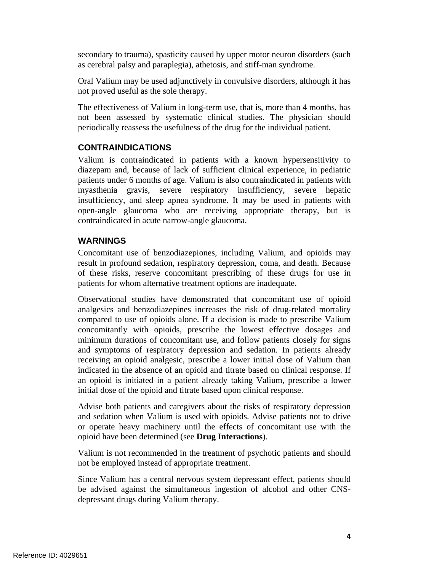secondary to trauma), spasticity caused by upper motor neuron disorders (such as cerebral palsy and paraplegia), athetosis, and stiff-man syndrome.

Oral Valium may be used adjunctively in convulsive disorders, although it has not proved useful as the sole therapy.

The effectiveness of Valium in long-term use, that is, more than 4 months, has not been assessed by systematic clinical studies. The physician should periodically reassess the usefulness of the drug for the individual patient.

# **CONTRAINDICATIONS**

Valium is contraindicated in patients with a known hypersensitivity to diazepam and, because of lack of sufficient clinical experience, in pediatric patients under 6 months of age. Valium is also contraindicated in patients with myasthenia gravis, severe respiratory insufficiency, severe hepatic insufficiency, and sleep apnea syndrome. It may be used in patients with open-angle glaucoma who are receiving appropriate therapy, but is contraindicated in acute narrow-angle glaucoma.

# **WARNINGS**

Concomitant use of benzodiazepiones, including Valium, and opioids may result in profound sedation, respiratory depression, coma, and death. Because of these risks, reserve concomitant prescribing of these drugs for use in patients for whom alternative treatment options are inadequate.

Observational studies have demonstrated that concomitant use of opioid analgesics and benzodiazepines increases the risk of drug-related mortality compared to use of opioids alone. If a decision is made to prescribe Valium concomitantly with opioids, prescribe the lowest effective dosages and minimum durations of concomitant use, and follow patients closely for signs and symptoms of respiratory depression and sedation. In patients already receiving an opioid analgesic, prescribe a lower initial dose of Valium than indicated in the absence of an opioid and titrate based on clinical response. If an opioid is initiated in a patient already taking Valium, prescribe a lower initial dose of the opioid and titrate based upon clinical response.

Advise both patients and caregivers about the risks of respiratory depression and sedation when Valium is used with opioids. Advise patients not to drive or operate heavy machinery until the effects of concomitant use with the opioid have been determined (see **Drug Interactions**).

Valium is not recommended in the treatment of psychotic patients and should not be employed instead of appropriate treatment.

Since Valium has a central nervous system depressant effect, patients should be advised against the simultaneous ingestion of alcohol and other CNSdepressant drugs during Valium therapy.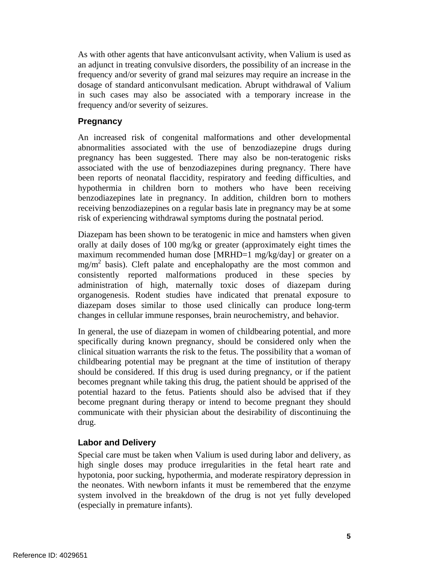As with other agents that have anticonvulsant activity, when Valium is used as an adjunct in treating convulsive disorders, the possibility of an increase in the frequency and/or severity of grand mal seizures may require an increase in the dosage of standard anticonvulsant medication. Abrupt withdrawal of Valium in such cases may also be associated with a temporary increase in the frequency and/or severity of seizures.

## **Pregnancy**

An increased risk of congenital malformations and other developmental abnormalities associated with the use of benzodiazepine drugs during pregnancy has been suggested. There may also be non-teratogenic risks associated with the use of benzodiazepines during pregnancy. There have been reports of neonatal flaccidity, respiratory and feeding difficulties, and hypothermia in children born to mothers who have been receiving benzodiazepines late in pregnancy. In addition, children born to mothers receiving benzodiazepines on a regular basis late in pregnancy may be at some risk of experiencing withdrawal symptoms during the postnatal period.

Diazepam has been shown to be teratogenic in mice and hamsters when given orally at daily doses of 100 mg/kg or greater (approximately eight times the maximum recommended human dose [MRHD=1 mg/kg/day] or greater on a mg/m<sup>2</sup> basis). Cleft palate and encephalopathy are the most common and consistently reported malformations produced in these species by administration of high, maternally toxic doses of diazepam during organogenesis. Rodent studies have indicated that prenatal exposure to diazepam doses similar to those used clinically can produce long-term changes in cellular immune responses, brain neurochemistry, and behavior.

In general, the use of diazepam in women of childbearing potential, and more specifically during known pregnancy, should be considered only when the clinical situation warrants the risk to the fetus. The possibility that a woman of childbearing potential may be pregnant at the time of institution of therapy should be considered. If this drug is used during pregnancy, or if the patient becomes pregnant while taking this drug, the patient should be apprised of the potential hazard to the fetus. Patients should also be advised that if they become pregnant during therapy or intend to become pregnant they should communicate with their physician about the desirability of discontinuing the drug.

# **Labor and Delivery**

Special care must be taken when Valium is used during labor and delivery, as high single doses may produce irregularities in the fetal heart rate and hypotonia, poor sucking, hypothermia, and moderate respiratory depression in the neonates. With newborn infants it must be remembered that the enzyme system involved in the breakdown of the drug is not yet fully developed (especially in premature infants).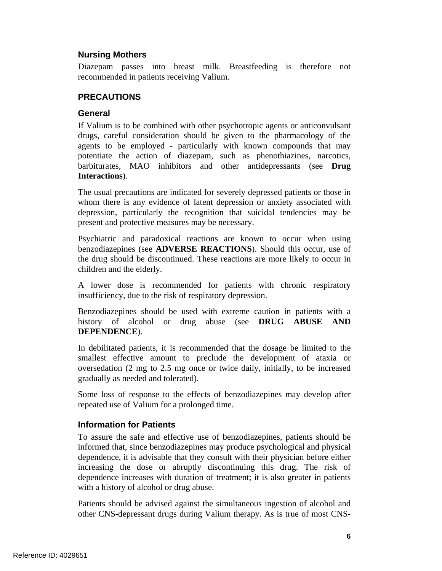## **Nursing Mothers**

Diazepam passes into breast milk. Breastfeeding is therefore not recommended in patients receiving Valium.

# **PRECAUTIONS**

## **General**

If Valium is to be combined with other psychotropic agents or anticonvulsant drugs, careful consideration should be given to the pharmacology of the agents to be employed - particularly with known compounds that may potentiate the action of diazepam, such as phenothiazines, narcotics, barbiturates, MAO inhibitors and other antidepressants (see **Drug Interactions**).

The usual precautions are indicated for severely depressed patients or those in whom there is any evidence of latent depression or anxiety associated with depression, particularly the recognition that suicidal tendencies may be present and protective measures may be necessary.

Psychiatric and paradoxical reactions are known to occur when using benzodiazepines (see **ADVERSE REACTIONS**). Should this occur, use of the drug should be discontinued. These reactions are more likely to occur in children and the elderly.

A lower dose is recommended for patients with chronic respiratory insufficiency, due to the risk of respiratory depression.

Benzodiazepines should be used with extreme caution in patients with a history of alcohol or drug abuse (see **DRUG ABUSE AND DEPENDENCE**).

In debilitated patients, it is recommended that the dosage be limited to the smallest effective amount to preclude the development of ataxia or oversedation (2 mg to 2.5 mg once or twice daily, initially, to be increased gradually as needed and tolerated).

repeated use of Valium for a prolonged time. Some loss of response to the effects of benzodiazepines may develop after

# **Information for Patients**

To assure the safe and effective use of benzodiazepines, patients should be informed that, since benzodiazepines may produce psychological and physical dependence, it is advisable that they consult with their physician before either increasing the dose or abruptly discontinuing this drug. The risk of dependence increases with duration of treatment; it is also greater in patients with a history of alcohol or drug abuse.

Patients should be advised against the simultaneous ingestion of alcohol and other CNS-depressant drugs during Valium therapy. As is true of most CNS-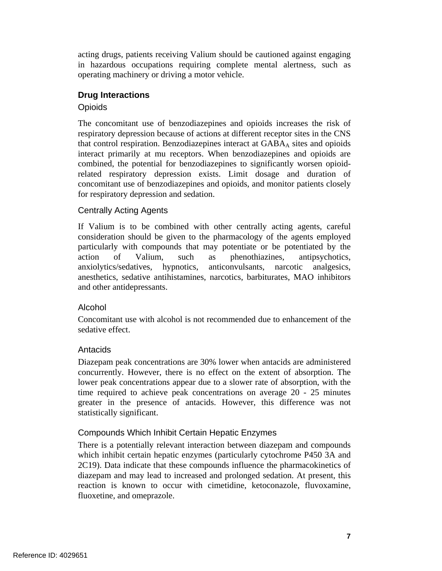acting drugs, patients receiving Valium should be cautioned against engaging in hazardous occupations requiring complete mental alertness, such as operating machinery or driving a motor vehicle.

## **Drug Interactions**

## **Opioids**

The concomitant use of benzodiazepines and opioids increases the risk of respiratory depression because of actions at different receptor sites in the CNS that control respiration. Benzodiazepines interact at  $GABA<sub>A</sub>$  sites and opioids interact primarily at mu receptors. When benzodiazepines and opioids are combined, the potential for benzodiazepines to significantly worsen opioidrelated respiratory depression exists. Limit dosage and duration of concomitant use of benzodiazepines and opioids, and monitor patients closely for respiratory depression and sedation.

## Centrally Acting Agents

If Valium is to be combined with other centrally acting agents, careful consideration should be given to the pharmacology of the agents employed particularly with compounds that may potentiate or be potentiated by the action of Valium, such as phenothiazines, antipsychotics, anxiolytics/sedatives, hypnotics, anticonvulsants, narcotic analgesics, anesthetics, sedative antihistamines, narcotics, barbiturates, MAO inhibitors and other antidepressants.

# Alcohol

Concomitant use with alcohol is not recommended due to enhancement of the sedative effect.

## Antacids

Diazepam peak concentrations are 30% lower when antacids are administered concurrently. However, there is no effect on the extent of absorption. The lower peak concentrations appear due to a slower rate of absorption, with the time required to achieve peak concentrations on average 20 - 25 minutes greater in the presence of antacids. However, this difference was not statistically significant.

# Compounds Which Inhibit Certain Hepatic Enzymes

There is a potentially relevant interaction between diazepam and compounds which inhibit certain hepatic enzymes (particularly cytochrome P450 3A and 2C19). Data indicate that these compounds influence the pharmacokinetics of diazepam and may lead to increased and prolonged sedation. At present, this reaction is known to occur with cimetidine, ketoconazole, fluvoxamine, fluoxetine, and omeprazole.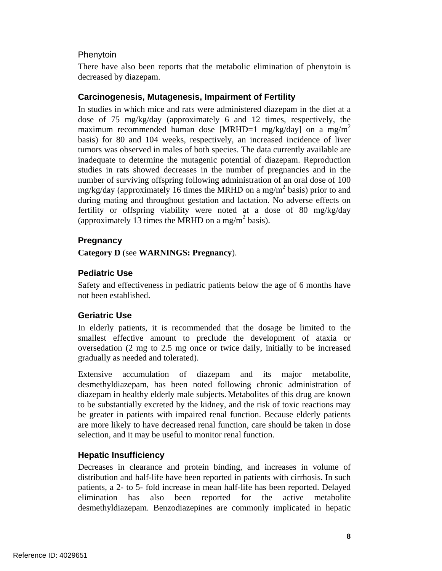## **Phenytoin**

There have also been reports that the metabolic elimination of phenytoin is decreased by diazepam.

## **Carcinogenesis, Mutagenesis, Impairment of Fertility**

In studies in which mice and rats were administered diazepam in the diet at a dose of 75 mg/kg/day (approximately 6 and 12 times, respectively, the maximum recommended human dose [MRHD=1 mg/kg/day] on a mg/m<sup>2</sup> basis) for 80 and 104 weeks, respectively, an increased incidence of liver tumors was observed in males of both species. The data currently available are inadequate to determine the mutagenic potential of diazepam. Reproduction studies in rats showed decreases in the number of pregnancies and in the number of surviving offspring following administration of an oral dose of 100 mg/kg/day (approximately 16 times the MRHD on a mg/m<sup>2</sup> basis) prior to and during mating and throughout gestation and lactation. No adverse effects on fertility or offspring viability were noted at a dose of 80 mg/kg/day (approximately 13 times the MRHD on a mg/m<sup>2</sup> basis).

# **Pregnancy**

**Category D** (see **WARNINGS: Pregnancy**).

# **Pediatric Use**

Safety and effectiveness in pediatric patients below the age of 6 months have not been established.

# **Geriatric Use**

In elderly patients, it is recommended that the dosage be limited to the smallest effective amount to preclude the development of ataxia or oversedation (2 mg to 2.5 mg once or twice daily, initially to be increased gradually as needed and tolerated).

Extensive accumulation of diazepam and its major metabolite, desmethyldiazepam, has been noted following chronic administration of diazepam in healthy elderly male subjects. Metabolites of this drug are known to be substantially excreted by the kidney, and the risk of toxic reactions may be greater in patients with impaired renal function. Because elderly patients are more likely to have decreased renal function, care should be taken in dose selection, and it may be useful to monitor renal function.

# **Hepatic Insufficiency**

Decreases in clearance and protein binding, and increases in volume of distribution and half-life have been reported in patients with cirrhosis. In such patients, a 2- to 5- fold increase in mean half-life has been reported. Delayed elimination has also been reported for the active metabolite desmethyldiazepam. Benzodiazepines are commonly implicated in hepatic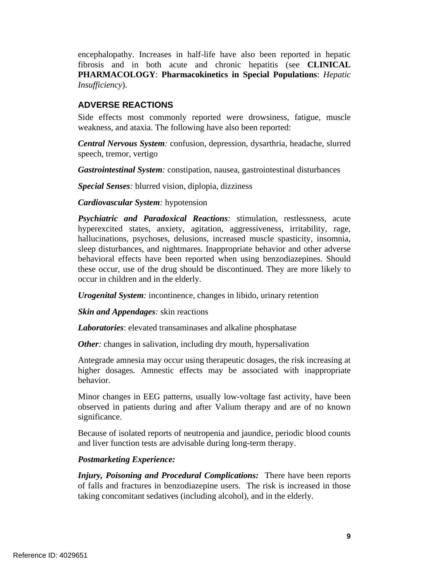encephalopathy. Increases in half-life have also been reported in hepatic fibrosis and in both acute and chronic hepatitis (see **CLINICAL PHARMACOLOGY**: **Pharmacokinetics in Special Populations**: *Hepatic Insufficiency*).

# **ADVERSE REACTIONS**

Side effects most commonly reported were drowsiness, fatigue, muscle weakness, and ataxia. The following have also been reported:

*Central Nervous System:* confusion, depression, dysarthria, headache, slurred speech, tremor, vertigo

*Gastrointestinal System:* constipation, nausea, gastrointestinal disturbances

*Special Senses:* blurred vision, diplopia, dizziness

*Cardiovascular System:* hypotension

*Psychiatric and Paradoxical Reactions:* stimulation, restlessness, acute hyperexcited states, anxiety, agitation, aggressiveness, irritability, rage, hallucinations, psychoses, delusions, increased muscle spasticity, insomnia, sleep disturbances, and nightmares. Inappropriate behavior and other adverse behavioral effects have been reported when using benzodiazepines. Should these occur, use of the drug should be discontinued. They are more likely to occur in children and in the elderly.

*Urogenital System:* incontinence, changes in libido, urinary retention

*Skin and Appendages:* skin reactions

*Laboratories*: elevated transaminases and alkaline phosphatase

*Other*: changes in salivation, including dry mouth, hypersalivation

Antegrade amnesia may occur using therapeutic dosages, the risk increasing at higher dosages. Amnestic effects may be associated with inappropriate behavior.

Minor changes in EEG patterns, usually low-voltage fast activity, have been observed in patients during and after Valium therapy and are of no known significance.

Because of isolated reports of neutropenia and jaundice, periodic blood counts and liver function tests are advisable during long-term therapy.

## *Postmarketing Experience:*

*Injury, Poisoning and Procedural Complications:* There have been reports of falls and fractures in benzodiazepine users. The risk is increased in those taking concomitant sedatives (including alcohol), and in the elderly.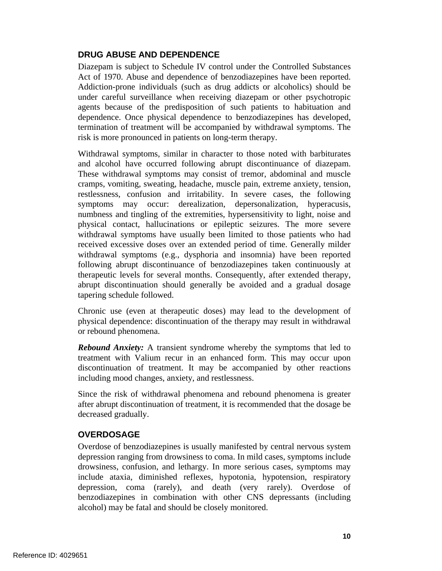## **DRUG ABUSE AND DEPENDENCE**

Diazepam is subject to Schedule IV control under the Controlled Substances Act of 1970. Abuse and dependence of benzodiazepines have been reported. Addiction-prone individuals (such as drug addicts or alcoholics) should be under careful surveillance when receiving diazepam or other psychotropic agents because of the predisposition of such patients to habituation and dependence. Once physical dependence to benzodiazepines has developed, termination of treatment will be accompanied by withdrawal symptoms. The risk is more pronounced in patients on long-term therapy.

Withdrawal symptoms, similar in character to those noted with barbiturates and alcohol have occurred following abrupt discontinuance of diazepam. These withdrawal symptoms may consist of tremor, abdominal and muscle cramps, vomiting, sweating, headache, muscle pain, extreme anxiety, tension, restlessness, confusion and irritability. In severe cases, the following symptoms may occur: derealization, depersonalization, hyperacusis, numbness and tingling of the extremities, hypersensitivity to light, noise and physical contact, hallucinations or epileptic seizures. The more severe withdrawal symptoms have usually been limited to those patients who had received excessive doses over an extended period of time. Generally milder withdrawal symptoms (e.g., dysphoria and insomnia) have been reported following abrupt discontinuance of benzodiazepines taken continuously at therapeutic levels for several months. Consequently, after extended therapy, abrupt discontinuation should generally be avoided and a gradual dosage tapering schedule followed.

Chronic use (even at therapeutic doses) may lead to the development of physical dependence: discontinuation of the therapy may result in withdrawal or rebound phenomena.

*Rebound Anxiety:* A transient syndrome whereby the symptoms that led to treatment with Valium recur in an enhanced form. This may occur upon discontinuation of treatment. It may be accompanied by other reactions including mood changes, anxiety, and restlessness.

Since the risk of withdrawal phenomena and rebound phenomena is greater after abrupt discontinuation of treatment, it is recommended that the dosage be decreased gradually.

# **OVERDOSAGE**

Overdose of benzodiazepines is usually manifested by central nervous system depression ranging from drowsiness to coma. In mild cases, symptoms include drowsiness, confusion, and lethargy. In more serious cases, symptoms may include ataxia, diminished reflexes, hypotonia, hypotension, respiratory depression, coma (rarely), and death (very rarely). Overdose of benzodiazepines in combination with other CNS depressants (including alcohol) may be fatal and should be closely monitored.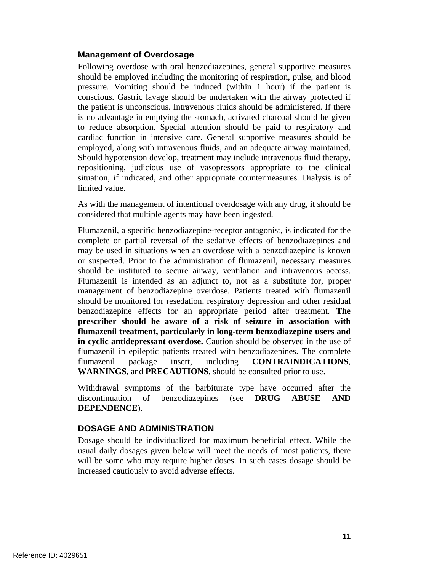## **Management of Overdosage**

Following overdose with oral benzodiazepines, general supportive measures should be employed including the monitoring of respiration, pulse, and blood pressure. Vomiting should be induced (within 1 hour) if the patient is conscious. Gastric lavage should be undertaken with the airway protected if the patient is unconscious. Intravenous fluids should be administered. If there is no advantage in emptying the stomach, activated charcoal should be given to reduce absorption. Special attention should be paid to respiratory and cardiac function in intensive care. General supportive measures should be employed, along with intravenous fluids, and an adequate airway maintained. Should hypotension develop, treatment may include intravenous fluid therapy, repositioning, judicious use of vasopressors appropriate to the clinical situation, if indicated, and other appropriate countermeasures. Dialysis is of limited value.

As with the management of intentional overdosage with any drug, it should be considered that multiple agents may have been ingested.

Flumazenil, a specific benzodiazepine-receptor antagonist, is indicated for the complete or partial reversal of the sedative effects of benzodiazepines and may be used in situations when an overdose with a benzodiazepine is known or suspected. Prior to the administration of flumazenil, necessary measures should be instituted to secure airway, ventilation and intravenous access. Flumazenil is intended as an adjunct to, not as a substitute for, proper management of benzodiazepine overdose. Patients treated with flumazenil should be monitored for resedation, respiratory depression and other residual benzodiazepine effects for an appropriate period after treatment. **The prescriber should be aware of a risk of seizure in association with flumazenil treatment, particularly in long-term benzodiazepine users and in cyclic antidepressant overdose.** Caution should be observed in the use of flumazenil in epileptic patients treated with benzodiazepines. The complete flumazenil package insert, including **CONTRAINDICATIONS**, **WARNINGS**, and **PRECAUTIONS**, should be consulted prior to use.

Withdrawal symptoms of the barbiturate type have occurred after the discontinuation of benzodiazepines (see **DRUG ABUSE AND DEPENDENCE**).

# **DOSAGE AND ADMINISTRATION**

Dosage should be individualized for maximum beneficial effect. While the usual daily dosages given below will meet the needs of most patients, there will be some who may require higher doses. In such cases dosage should be increased cautiously to avoid adverse effects.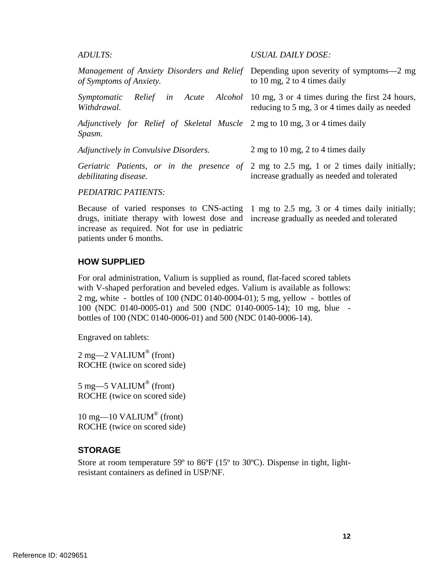#### *ADULTS: USUAL DAILY DOSE:*

| of Symptoms of Anxiety.                                                                | Management of Anxiety Disorders and Relief Depending upon severity of symptoms-2 mg<br>to 10 mg, 2 to 4 times daily                          |
|----------------------------------------------------------------------------------------|----------------------------------------------------------------------------------------------------------------------------------------------|
| Symptomatic<br>Withdrawal.                                                             | <i>Relief in Acute Alcohol</i> 10 mg, 3 or 4 times during the first 24 hours,<br>reducing to 5 mg, 3 or 4 times daily as needed              |
| Adjunctively for Relief of Skeletal Muscle 2 mg to 10 mg, 3 or 4 times daily<br>Spasm. |                                                                                                                                              |
| Adjunctively in Convulsive Disorders.                                                  | 2 mg to 10 mg, 2 to 4 times daily                                                                                                            |
| debilitating disease.                                                                  | <i>Geriatric Patients, or in the presence of 2 mg to 2.5 mg, 1 or 2 times daily initially;</i><br>increase gradually as needed and tolerated |
| <b>PEDIATRIC PATIENTS:</b>                                                             |                                                                                                                                              |

Because of varied responses to CNS-acting 1 mg to 2.5 mg, 3 or 4 times daily initially; drugs, initiate therapy with lowest dose and increase gradually as needed and tolerated increase as required. Not for use in pediatric patients under 6 months.

#### **HOW SUPPLIED**

For oral administration, Valium is supplied as round, flat-faced scored tablets with V-shaped perforation and beveled edges. Valium is available as follows: 2 mg, white - bottles of 100 (NDC 0140-0004-01); 5 mg, yellow - bottles of 100 (NDC 0140-0005-01) and 500 (NDC 0140-0005-14); 10 mg, blue bottles of 100 (NDC 0140-0006-01) and 500 (NDC 0140-0006-14).

Engraved on tablets:

 $2 \text{ mg}$ — $2 \text{ VALIUM}$ <sup>®</sup> (front) ROCHE (twice on scored side)

5 mg—5 VALIUM® (front) ROCHE (twice on scored side)

10 mg—10 VALIUM<sup>®</sup> (front) ROCHE (twice on scored side)

#### **STORAGE**

Store at room temperature 59º to 86ºF (15º to 30ºC). Dispense in tight, lightresistant containers as defined in USP/NF.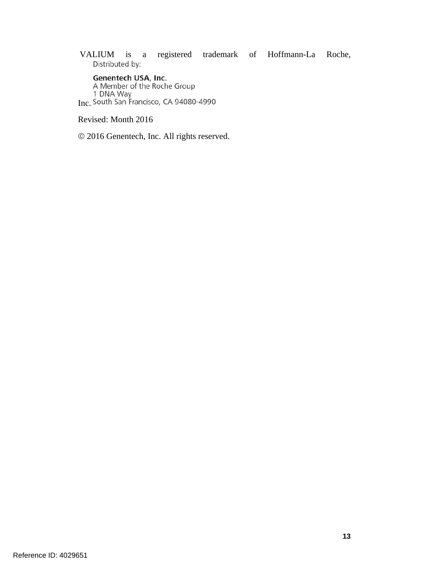VALIUM is a registered trademark of Hoffmann-La Roche,

Genentech USA, Inc.<br>A Member of the Roche Group<br>1 DNA Way<br>Inc. South San Francisco, CA 94080-4990

Revised: Month 2016

2016 Genentech, Inc. All rights reserved.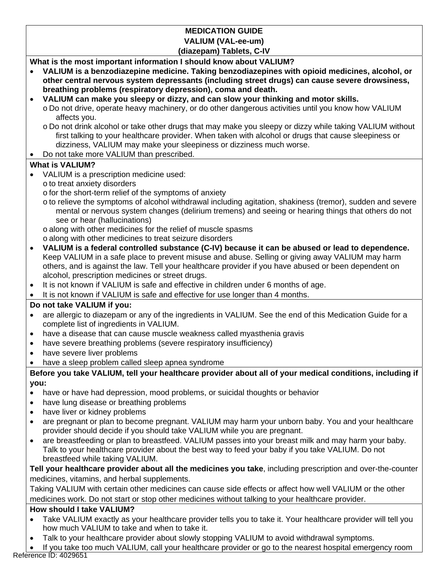# **MEDICATION GUIDE VALIUM (VAL-ee-um) (diazepam) Tablets, C-IV**

**What is the most important information I should know about VALIUM?** 

- **VALIUM is a benzodiazepine medicine. Taking benzodiazepines with opioid medicines, alcohol, or other central nervous system depressants (including street drugs) can cause severe drowsiness, breathing problems (respiratory depression), coma and death.**
- **VALIUM can make you sleepy or dizzy, and can slow your thinking and motor skills.** 
	- o Do not drive, operate heavy machinery, or do other dangerous activities until you know how VALIUM affects you.
	- o Do not drink alcohol or take other drugs that may make you sleepy or dizzy while taking VALIUM without first talking to your healthcare provider. When taken with alcohol or drugs that cause sleepiness or dizziness, VALIUM may make your sleepiness or dizziness much worse.
- Do not take more VALIUM than prescribed.

# **What is VALIUM?**

- VALIUM is a prescription medicine used:
	- o to treat anxiety disorders
	- o for the short-term relief of the symptoms of anxiety
	- o to relieve the symptoms of alcohol withdrawal including agitation, shakiness (tremor), sudden and severe mental or nervous system changes (delirium tremens) and seeing or hearing things that others do not see or hear (hallucinations)
	- o along with other medicines for the relief of muscle spasms
	- o along with other medicines to treat seizure disorders
- **VALIUM is a federal controlled substance (C-IV) because it can be abused or lead to dependence.**  Keep VALIUM in a safe place to prevent misuse and abuse. Selling or giving away VALIUM may harm others, and is against the law. Tell your healthcare provider if you have abused or been dependent on alcohol, prescription medicines or street drugs.
- It is not known if VALIUM is safe and effective in children under 6 months of age.

It is not known if VALIUM is safe and effective for use longer than 4 months.

# **Do not take VALIUM if you:**

- are allergic to diazepam or any of the ingredients in VALIUM. See the end of this Medication Guide for a complete list of ingredients in VALIUM.
- have a disease that can cause muscle weakness called myasthenia gravis
- have severe breathing problems (severe respiratory insufficiency)
- have severe liver problems
- have a sleep problem called sleep apnea syndrome

# **Before you take VALIUM, tell your healthcare provider about all of your medical conditions, including if you:**

- have or have had depression, mood problems, or suicidal thoughts or behavior
- have lung disease or breathing problems
- have liver or kidney problems
- are pregnant or plan to become pregnant. VALIUM may harm your unborn baby. You and your healthcare provider should decide if you should take VALIUM while you are pregnant.
- are breastfeeding or plan to breastfeed. VALIUM passes into your breast milk and may harm your baby. Talk to your healthcare provider about the best way to feed your baby if you take VALIUM. Do not breastfeed while taking VALIUM.

**Tell your healthcare provider about all the medicines you take**, including prescription and over-the-counter medicines, vitamins, and herbal supplements.

Taking VALIUM with certain other medicines can cause side effects or affect how well VALIUM or the other medicines work. Do not start or stop other medicines without talking to your healthcare provider.

# **How should I take VALIUM?**

- Take VALIUM exactly as your healthcare provider tells you to take it. Your healthcare provider will tell you how much VALIUM to take and when to take it.
- Talk to your healthcare provider about slowly stopping VALIUM to avoid withdrawal symptoms.

 If you take too much VALIUM, call your healthcare provider or go to the nearest hospital emergency room Reference ID: 4029651